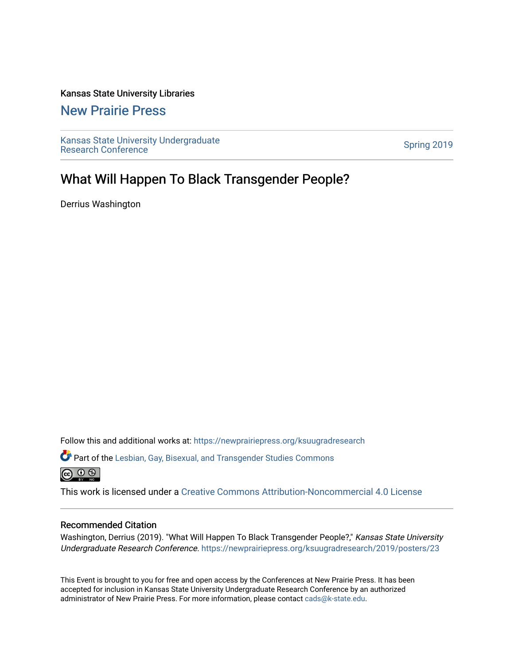#### Kansas State University Libraries

### [New Prairie Press](https://newprairiepress.org/)

[Kansas State University Undergraduate](https://newprairiepress.org/ksuugradresearch)  Ransas State University Undergraduate<br>[Research Conference](https://newprairiepress.org/ksuugradresearch)

### What Will Happen To Black Transgender People?

Derrius Washington

Follow this and additional works at: [https://newprairiepress.org/ksuugradresearch](https://newprairiepress.org/ksuugradresearch?utm_source=newprairiepress.org%2Fksuugradresearch%2F2019%2Fposters%2F23&utm_medium=PDF&utm_campaign=PDFCoverPages) 

Part of the [Lesbian, Gay, Bisexual, and Transgender Studies Commons](http://network.bepress.com/hgg/discipline/560?utm_source=newprairiepress.org%2Fksuugradresearch%2F2019%2Fposters%2F23&utm_medium=PDF&utm_campaign=PDFCoverPages) 

This work is licensed under a [Creative Commons Attribution-Noncommercial 4.0 License](https://creativecommons.org/licenses/by-nc/4.0/)

#### Recommended Citation

Washington, Derrius (2019). "What Will Happen To Black Transgender People?," Kansas State University Undergraduate Research Conference.<https://newprairiepress.org/ksuugradresearch/2019/posters/23>

This Event is brought to you for free and open access by the Conferences at New Prairie Press. It has been accepted for inclusion in Kansas State University Undergraduate Research Conference by an authorized administrator of New Prairie Press. For more information, please contact [cads@k-state.edu](mailto:cads@k-state.edu).